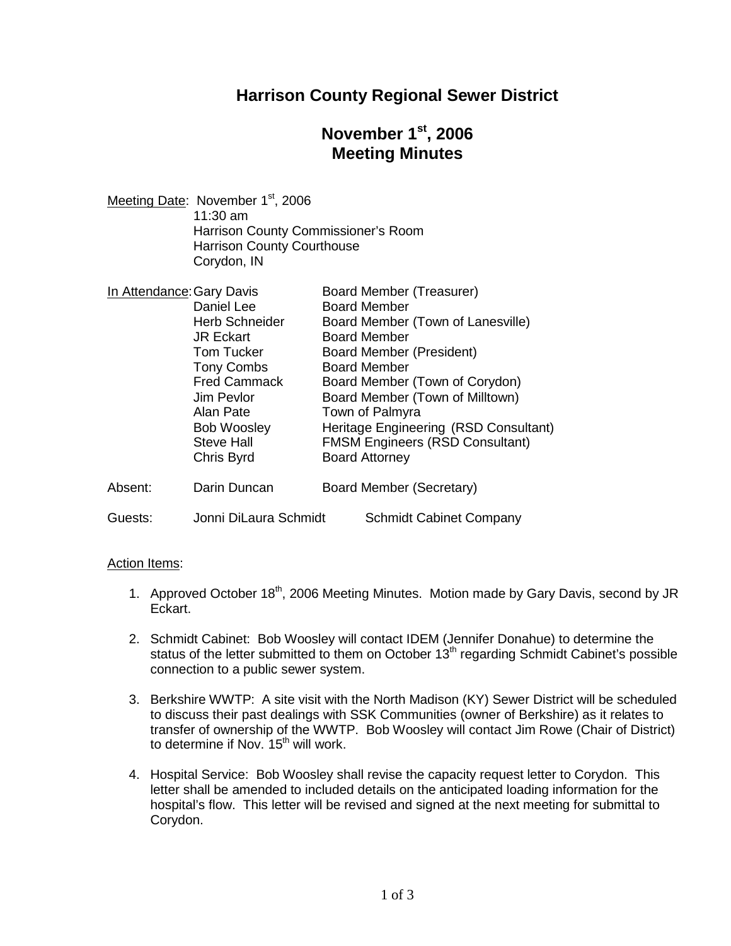# **Harrison County Regional Sewer District**

# **November 1st , 2006 Meeting Minutes**

| Meeting Date: November 1 <sup>st</sup> , 2006 |
|-----------------------------------------------|
| $11:30 \text{ am}$                            |
| Harrison County Commissioner's Room           |
| <b>Harrison County Courthouse</b>             |
| Corydon, IN                                   |
|                                               |

| In Attendance: Gary Davis |                       | Board Member (Treasurer)               |
|---------------------------|-----------------------|----------------------------------------|
|                           | Daniel Lee            | <b>Board Member</b>                    |
|                           | <b>Herb Schneider</b> | Board Member (Town of Lanesville)      |
|                           | <b>JR Eckart</b>      | <b>Board Member</b>                    |
|                           | <b>Tom Tucker</b>     | <b>Board Member (President)</b>        |
|                           | <b>Tony Combs</b>     | <b>Board Member</b>                    |
|                           | <b>Fred Cammack</b>   | Board Member (Town of Corydon)         |
|                           | Jim Pevlor            | Board Member (Town of Milltown)        |
|                           | Alan Pate             | Town of Palmyra                        |
|                           | <b>Bob Woosley</b>    | Heritage Engineering (RSD Consultant)  |
|                           | <b>Steve Hall</b>     | <b>FMSM Engineers (RSD Consultant)</b> |
|                           | Chris Byrd            | <b>Board Attorney</b>                  |
| Absent:                   | Darin Duncan          | Board Member (Secretary)               |
| Guests:                   | Jonni DiLaura Schmidt | <b>Schmidt Cabinet Company</b>         |

### Action Items:

- 1. Approved October 18<sup>th</sup>, 2006 Meeting Minutes. Motion made by Gary Davis, second by JR Eckart.
- 2. Schmidt Cabinet: Bob Woosley will contact IDEM (Jennifer Donahue) to determine the status of the letter submitted to them on October 13<sup>th</sup> regarding Schmidt Cabinet's possible connection to a public sewer system.
- 3. Berkshire WWTP: A site visit with the North Madison (KY) Sewer District will be scheduled to discuss their past dealings with SSK Communities (owner of Berkshire) as it relates to transfer of ownership of the WWTP. Bob Woosley will contact Jim Rowe (Chair of District) to determine if Nov. 15<sup>th</sup> will work.
- 4. Hospital Service: Bob Woosley shall revise the capacity request letter to Corydon. This letter shall be amended to included details on the anticipated loading information for the hospital's flow. This letter will be revised and signed at the next meeting for submittal to Corydon.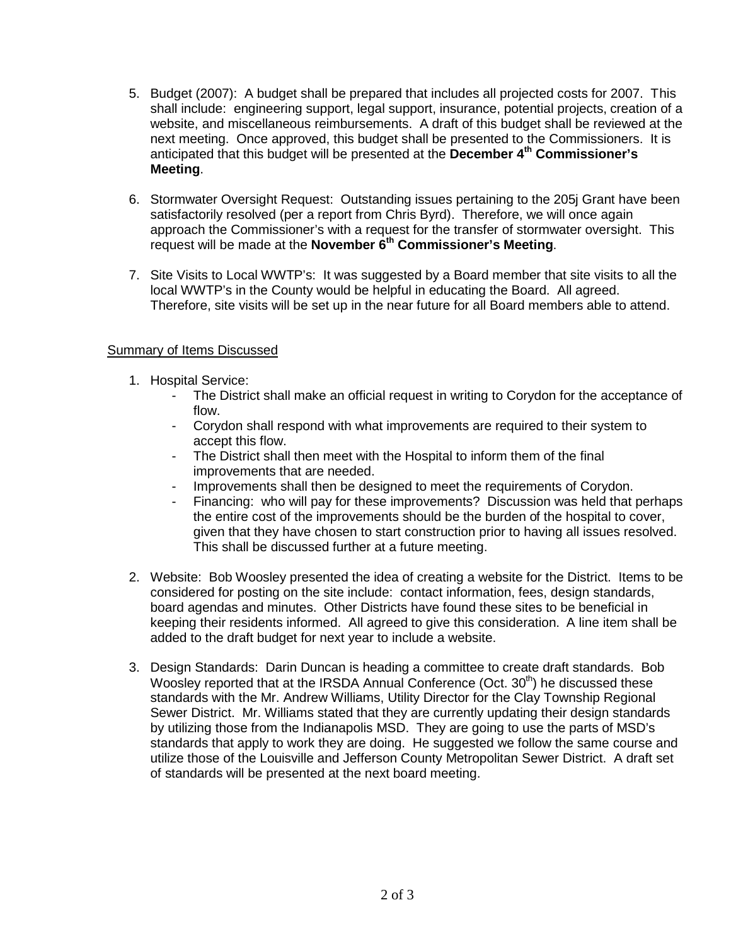- 5. Budget (2007): A budget shall be prepared that includes all projected costs for 2007. This shall include: engineering support, legal support, insurance, potential projects, creation of a website, and miscellaneous reimbursements. A draft of this budget shall be reviewed at the next meeting. Once approved, this budget shall be presented to the Commissioners. It is anticipated that this budget will be presented at the **December 4th Commissioner's Meeting**.
- 6. Stormwater Oversight Request: Outstanding issues pertaining to the 205j Grant have been satisfactorily resolved (per a report from Chris Byrd). Therefore, we will once again approach the Commissioner's with a request for the transfer of stormwater oversight. This request will be made at the **November 6th Commissioner's Meeting**.
- 7. Site Visits to Local WWTP's: It was suggested by a Board member that site visits to all the local WWTP's in the County would be helpful in educating the Board. All agreed. Therefore, site visits will be set up in the near future for all Board members able to attend.

## Summary of Items Discussed

- 1. Hospital Service:
	- The District shall make an official request in writing to Corydon for the acceptance of flow.
	- Corydon shall respond with what improvements are required to their system to accept this flow.
	- The District shall then meet with the Hospital to inform them of the final improvements that are needed.
	- Improvements shall then be designed to meet the requirements of Corydon.
	- Financing: who will pay for these improvements? Discussion was held that perhaps the entire cost of the improvements should be the burden of the hospital to cover, given that they have chosen to start construction prior to having all issues resolved. This shall be discussed further at a future meeting.
- 2. Website: Bob Woosley presented the idea of creating a website for the District. Items to be considered for posting on the site include: contact information, fees, design standards, board agendas and minutes. Other Districts have found these sites to be beneficial in keeping their residents informed. All agreed to give this consideration. A line item shall be added to the draft budget for next year to include a website.
- 3. Design Standards: Darin Duncan is heading a committee to create draft standards. Bob Woosley reported that at the IRSDA Annual Conference (Oct.  $30<sup>th</sup>$ ) he discussed these standards with the Mr. Andrew Williams, Utility Director for the Clay Township Regional Sewer District. Mr. Williams stated that they are currently updating their design standards by utilizing those from the Indianapolis MSD. They are going to use the parts of MSD's standards that apply to work they are doing. He suggested we follow the same course and utilize those of the Louisville and Jefferson County Metropolitan Sewer District. A draft set of standards will be presented at the next board meeting.